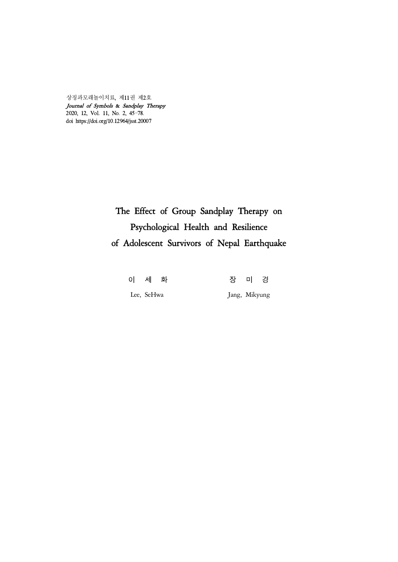상징과모래놀이치료, 제11권 제2호 Journal of Symbols & Sandplay Therapy 2020, 12, Vol. 11, No. 2, 45-78. doi https://doi.org/10.12964/jsst.20007

# The Effect of Group Sandplay Therapy on Psychological Health and Resilience of Adolescent Survivors of Nepal Earthquake

이 세 화 장 미 경 Lee, SeHwa Jang, Mikyung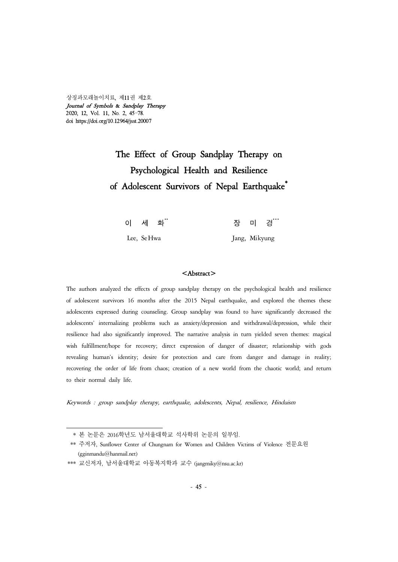상징과모래놀이치료, 제11권 제2호 Journal of Symbols & Sandplay Therapy 2020, 12, Vol. 11, No. 2, 45-78. doi https://doi.org/10.12964/jsst.20007

# The Effect of Group Sandplay Therapy on Psychological Health and Resilience of Adolescent Survivors of Nepal Earthquake<sup>\*</sup>

| 이 세 화 <sup>**</sup> | 장 미 경 <sup>***</sup> |
|---------------------|----------------------|
| Lee, Se Hwa         | Jang, Mikyung        |

#### <Abstract>

The authors analyzed the effects of group sandplay therapy on the psychological health and resilience of adolescent survivors 16 months after the 2015 Nepal earthquake, and explored the themes these adolescents expressed during counseling. Group sandplay was found to have significantly decreased the adolescents' internalizing problems such as anxiety/depression and withdrawal/depression, while their resilience had also significantly improved. The narrative analysis in turn yielded seven themes: magical wish fulfillment/hope for recovery; direct expression of danger of disaster; relationship with gods revealing human's identity; desire for protection and care from danger and damage in reality; recovering the order of life from chaos; creation of a new world from the chaotic world; and return to their normal daily life.

Keywords : group sandplay therapy, earthquake, adolescents, Nepal, resilience, Hinduism

 <sup>\*</sup> 본 논문은 2016학년도 남서울대학교 석사학위 논문의 일부임.

<sup>\*\*</sup> 주저자, Sunflower Center of Chungnam for Women and Children Victims of Violence 전문요원 (gginmandu@hanmail.net)

<sup>\*\*\*</sup> 교신저자, 남서울대학교 아동복지학과 교수 (jangmiky@nsu.ac.kr)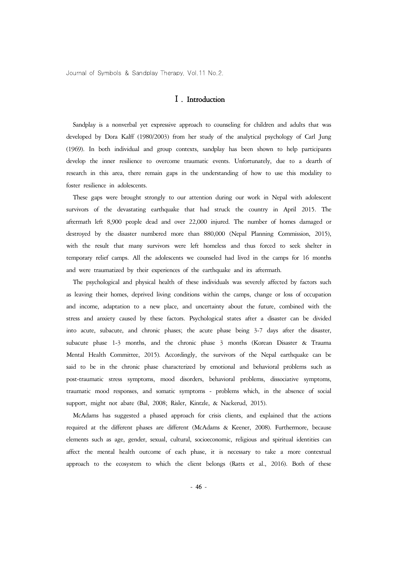# Ⅰ. Introduction

Sandplay is a nonverbal yet expressive approach to counseling for children and adults that was developed by Dora Kalff (1980/2003) from her study of the analytical psychology of Carl Jung (1969). In both individual and group contexts, sandplay has been shown to help participants develop the inner resilience to overcome traumatic events. Unfortunately, due to a dearth of research in this area, there remain gaps in the understanding of how to use this modality to foster resilience in adolescents.

These gaps were brought strongly to our attention during our work in Nepal with adolescent survivors of the devastating earthquake that had struck the country in April 2015. The aftermath left 8,900 people dead and over 22,000 injured. The number of homes damaged or destroyed by the disaster numbered more than 880,000 (Nepal Planning Commission, 2015), with the result that many survivors were left homeless and thus forced to seek shelter in temporary relief camps. All the adolescents we counseled had lived in the camps for 16 months and were traumatized by their experiences of the earthquake and its aftermath.

The psychological and physical health of these individuals was severely affected by factors such as leaving their homes, deprived living conditions within the camps, change or loss of occupation and income, adaptation to a new place, and uncertainty about the future, combined with the stress and anxiety caused by these factors. Psychological states after a disaster can be divided into acute, subacute, and chronic phases; the acute phase being 3-7 days after the disaster, subacute phase 1-3 months, and the chronic phase 3 months (Korean Disaster & Trauma Mental Health Committee, 2015). Accordingly, the survivors of the Nepal earthquake can be said to be in the chronic phase characterized by emotional and behavioral problems such as post-traumatic stress symptoms, mood disorders, behavioral problems, dissociative symptoms, traumatic mood responses, and somatic symptoms - problems which, in the absence of social support, might not abate (Bal, 2008; Risler, Kintzle, & Nackerud, 2015).

McAdams has suggested a phased approach for crisis clients, and explained that the actions required at the different phases are different (McAdams & Keener, 2008). Furthermore, because elements such as age, gender, sexual, cultural, socioeconomic, religious and spiritual identities can affect the mental health outcome of each phase, it is necessary to take a more contextual approach to the ecosystem to which the client belongs (Ratts et al., 2016). Both of these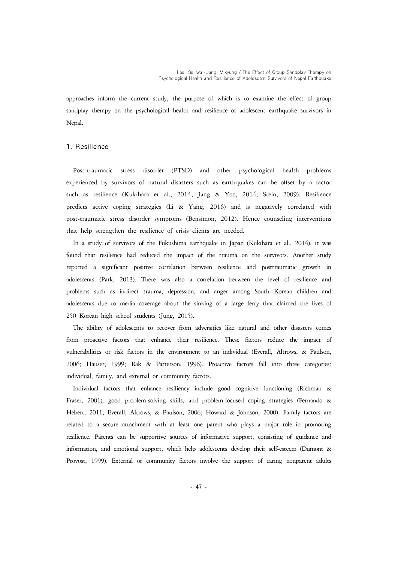approaches inform the current study, the purpose of which is to examine the effect of group sandplay therapy on the psychological health and resilience of adolescent earthquake survivors in Nepal.

#### 1. Resilience

Post-traumatic stress disorder (PTSD) and other psychological health problems experienced by survivors of natural disasters such as earthquakes can be offset by a factor such as resilience (Kukihara et al., 2014; Jang & Yoo, 2014; Stein, 2009). Resilience predicts active coping strategies (Li & Yang, 2016) and is negatively correlated with post-traumatic stress disorder symptoms (Bensimon, 2012). Hence counseling interventions that help strengthen the resilience of crisis clients are needed.

In a study of survivors of the Fukushima earthquake in Japan (Kukihara et al., 2014), it was found that resilience had reduced the impact of the trauma on the survivors. Another study reported a significant positive correlation between resilience and posttraumatic growth in adolescents (Park, 2013). There was also a correlation between the level of resilience and problems such as indirect trauma, depression, and anger among South Korean children and adolescents due to media coverage about the sinking of a large ferry that claimed the lives of 250 Korean high school students (Jung, 2015).

The ability of adolescents to recover from adversities like natural and other disasters comes from proactive factors that enhance their resilience. These factors reduce the impact of vulnerabilities or risk factors in the environment to an individual (Everall, Altrows, & Paulson, 2006; Hauser, 1999; Rak & Patterson, 1996). Proactive factors fall into three categories: individual, family, and external or community factors.

Individual factors that enhance resiliency include good cognitive functioning (Richman & Fraser, 2001), good problem-solving skills, and problem-focused coping strategies (Fernando & Hebert, 2011; Everall, Altrows, & Paulson, 2006; Howard & Johnson, 2000). Family factors are related to a secure attachment with at least one parent who plays a major role in promoting resilience. Parents can be supportive sources of informative support, consisting of guidance and information, and emotional support, which help adolescents develop their self-esteem (Dumont & Provost, 1999). External or community factors involve the support of caring nonparent adults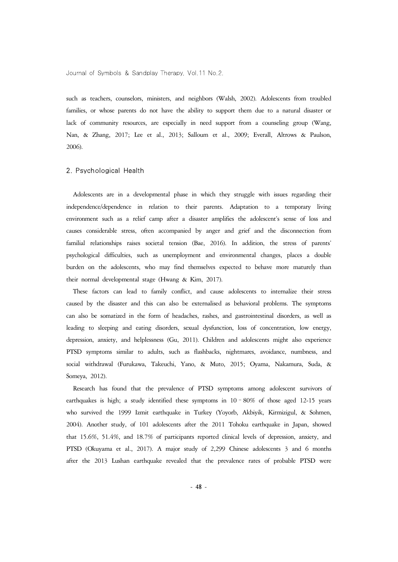such as teachers, counselors, ministers, and neighbors (Walsh, 2002). Adolescents from troubled families, or whose parents do not have the ability to support them due to a natural disaster or lack of community resources, are especially in need support from a counseling group (Wang, Nan, & Zhang, 2017; Lee et al., 2013; Salloum et al., 2009; Everall, Altrows & Paulson, 2006).

#### 2. Psychological Health

Adolescents are in a developmental phase in which they struggle with issues regarding their independence/dependence in relation to their parents. Adaptation to a temporary living environment such as a relief camp after a disaster amplifies the adolescent's sense of loss and causes considerable stress, often accompanied by anger and grief and the disconnection from familial relationships raises societal tension (Bae, 2016). In addition, the stress of parents' psychological difficulties, such as unemployment and environmental changes, places a double burden on the adolescents, who may find themselves expected to behave more maturely than their normal developmental stage (Hwang & Kim, 2017).

These factors can lead to family conflict, and cause adolescents to internalize their stress caused by the disaster and this can also be externalised as behavioral problems. The symptoms can also be somatized in the form of headaches, rashes, and gastrointestinal disorders, as well as leading to sleeping and eating disorders, sexual dysfunction, loss of concentration, low energy, depression, anxiety, and helplessness (Gu, 2011). Children and adolescents might also experience PTSD symptoms similar to adults, such as flashbacks, nightmares, avoidance, numbness, and social withdrawal (Furukawa, Takeuchi, Yano, & Muto, 2015; Oyama, Nakamura, Suda, & Someya, 2012).

Research has found that the prevalence of PTSD symptoms among adolescent survivors of earthquakes is high; a study identified these symptoms in  $10 - 80\%$  of those aged 12-15 years who survived the 1999 Izmit earthquake in Turkey (Yoyorb, Akbiyik, Kirmizigul, & Sohmen, 2004). Another study, of 101 adolescents after the 2011 Tohoku earthquake in Japan, showed that 15.6%, 51.4%, and 18.7% of participants reported clinical levels of depression, anxiety, and PTSD (Okuyama et al., 2017). A major study of 2,299 Chinese adolescents 3 and 6 months after the 2013 Lushan earthquake revealed that the prevalence rates of probable PTSD were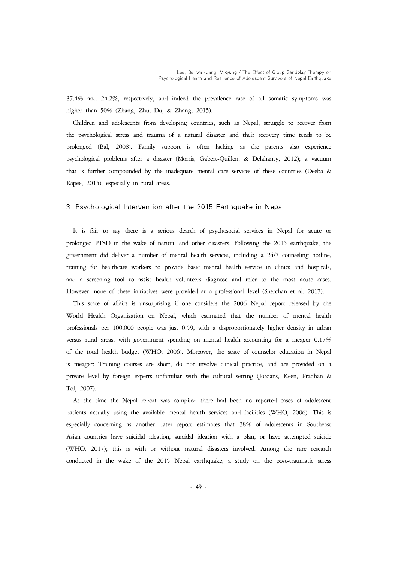37.4% and 24.2%, respectively, and indeed the prevalence rate of all somatic symptoms was higher than 50% (Zhang, Zhu, Du, & Zhang, 2015).

Children and adolescents from developing countries, such as Nepal, struggle to recover from the psychological stress and trauma of a natural disaster and their recovery time tends to be prolonged (Bal, 2008). Family support is often lacking as the parents also experience psychological problems after a disaster (Morris, Gabert-Quillen, & Delahanty, 2012); a vacuum that is further compounded by the inadequate mental care services of these countries (Deeba & Rapee, 2015), especially in rural areas.

#### 3. Psychological Intervention after the 2015 Earthquake in Nepal

It is fair to say there is a serious dearth of psychosocial services in Nepal for acute or prolonged PTSD in the wake of natural and other disasters. Following the 2015 earthquake, the government did deliver a number of mental health services, including a 24/7 counseling hotline, training for healthcare workers to provide basic mental health service in clinics and hospitals, and a screening tool to assist health volunteers diagnose and refer to the most acute cases. However, none of these initiatives were provided at a professional level (Sherchan et al, 2017).

This state of affairs is unsurprising if one considers the 2006 Nepal report released by the World Health Organization on Nepal, which estimated that the number of mental health professionals per 100,000 people was just 0.59, with a disproportionately higher density in urban versus rural areas, with government spending on mental health accounting for a meager 0.17% of the total health budget (WHO, 2006). Moreover, the state of counselor education in Nepal is meager: Training courses are short, do not involve clinical practice, and are provided on a private level by foreign experts unfamiliar with the cultural setting (Jordans, Keen, Pradhan & Tol, 2007).

At the time the Nepal report was compiled there had been no reported cases of adolescent patients actually using the available mental health services and facilities (WHO, 2006). This is especially concerning as another, later report estimates that 38% of adolescents in Southeast Asian countries have suicidal ideation, suicidal ideation with a plan, or have attempted suicide (WHO, 2017); this is with or without natural disasters involved. Among the rare research conducted in the wake of the 2015 Nepal earthquake, a study on the post-traumatic stress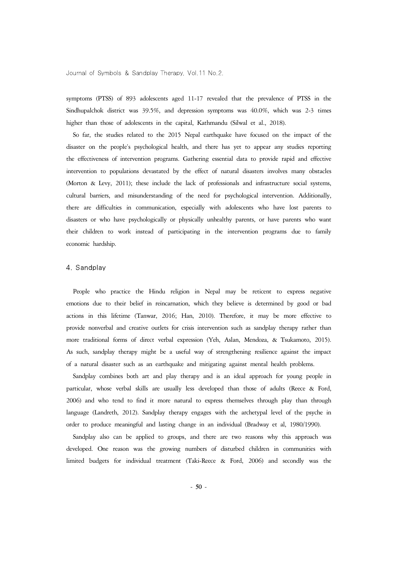symptoms (PTSS) of 893 adolescents aged 11-17 revealed that the prevalence of PTSS in the Sindhupalchok district was 39.5%, and depression symptoms was 40.0%, which was 2-3 times higher than those of adolescents in the capital, Kathmandu (Silwal et al., 2018).

So far, the studies related to the 2015 Nepal earthquake have focused on the impact of the disaster on the people's psychological health, and there has yet to appear any studies reporting the effectiveness of intervention programs. Gathering essential data to provide rapid and effective intervention to populations devastated by the effect of natural disasters involves many obstacles (Morton & Levy, 2011); these include the lack of professionals and infrastructure social systems, cultural barriers, and misunderstanding of the need for psychological intervention. Additionally, there are difficulties in communication, especially with adolescents who have lost parents to disasters or who have psychologically or physically unhealthy parents, or have parents who want their children to work instead of participating in the intervention programs due to family economic hardship.

#### 4. Sandplay

People who practice the Hindu religion in Nepal may be reticent to express negative emotions due to their belief in reincarnation, which they believe is determined by good or bad actions in this lifetime (Tanwar, 2016; Han, 2010). Therefore, it may be more effective to provide nonverbal and creative outlets for crisis intervention such as sandplay therapy rather than more traditional forms of direct verbal expression (Yeh, Aslan, Mendoza, & Tsukamoto, 2015). As such, sandplay therapy might be a useful way of strengthening resilience against the impact of a natural disaster such as an earthquake and mitigating against mental health problems.

Sandplay combines both art and play therapy and is an ideal approach for young people in particular, whose verbal skills are usually less developed than those of adults (Reece & Ford, 2006) and who tend to find it more natural to express themselves through play than through language (Landreth, 2012). Sandplay therapy engages with the archetypal level of the psyche in order to produce meaningful and lasting change in an individual (Bradway et al, 1980/1990).

Sandplay also can be applied to groups, and there are two reasons why this approach was developed. One reason was the growing numbers of disturbed children in communities with limited budgets for individual treatment (Taki-Reece & Ford, 2006) and secondly was the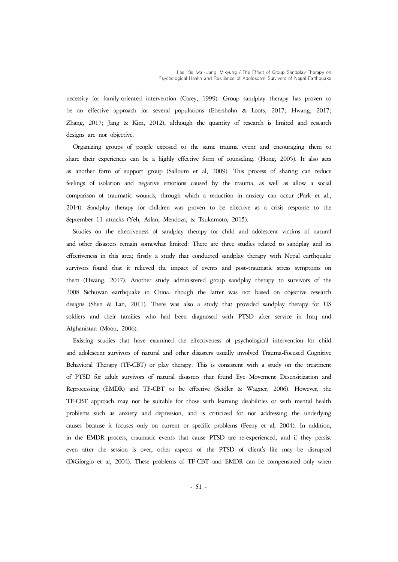necessity for family-oriented intervention (Carey, 1999). Group sandplay therapy has proven to be an effective approach for several populations (Ebershohn & Loots, 2017; Hwang, 2017; Zhang, 2017; Jang & Kim, 2012), although the quantity of research is limited and research designs are not objective.

Organizing groups of people exposed to the same trauma event and encouraging them to share their experiences can be a highly effective form of counseling. (Hong, 2005). It also acts as another form of support group (Salloum et al, 2009). This process of sharing can reduce feelings of isolation and negative emotions caused by the trauma, as well as allow a social comparison of traumatic wounds, through which a reduction in anxiety can occur (Park et al., 2014). Sandplay therapy for children was proven to be effective as a crisis response to the September 11 attacks (Yeh, Aslan, Mendoza, & Tsukamoto, 2015).

Studies on the effectiveness of sandplay therapy for child and adolescent victims of natural and other disasters remain somewhat limited: There are three studies related to sandplay and its effectiveness in this area; firstly a study that conducted sandplay therapy with Nepal earthquake survivors found that it relieved the impact of events and post-traumatic stress symptoms on them (Hwang, 2017). Another study administered group sandplay therapy to survivors of the 2008 Sichuwan earthquake in China, though the latter was not based on objective research designs (Shen & Lan, 2011). There was also a study that provided sandplay therapy for US soldiers and their families who had been diagnosed with PTSD after service in Iraq and Afghanistan (Moon, 2006).

Existing studies that have examined the effectiveness of psychological intervention for child and adolescent survivors of natural and other disasters usually involved Trauma-Focused Cognitive Behavioral Therapy (TF-CBT) or play therapy. This is consistent with a study on the treatment of PTSD for adult survivors of natural disasters that found Eye Movement Desensitization and Reprocessing (EMDR) and TF-CBT to be effective (Seidler & Wagner, 2006). However, the TF-CBT approach may not be suitable for those with learning disabilities or with mental health problems such as anxiety and depression, and is criticized for not addressing the underlying causes because it focuses only on current or specific problems (Feeny et al, 2004). In addition, in the EMDR process, traumatic events that cause PTSD are re-experienced, and if they persist even after the session is over, other aspects of the PTSD of client's life may be disrupted (DiGiorgio et al, 2004). These problems of TF-CBT and EMDR can be compensated only when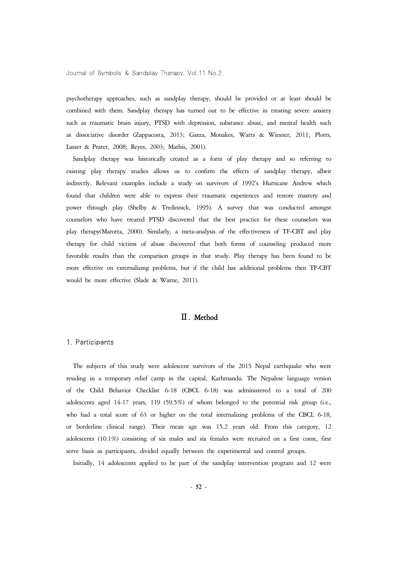psychotherapy approaches, such as sandplay therapy, should be provided or at least should be combined with them. Sandplay therapy has turned out to be effective in treating severe anxiety such as traumatic brain injury, PTSD with depression, substance abuse, and mental health such as dissociative disorder (Zappacosta, 2013; Garza, Monakes, Watts & Wiesner, 2011; Plotts, Lasser & Prater, 2008; Reyes, 2003; Mathis, 2001).

Sandplay therapy was historically created as a form of play therapy and so referring to existing play therapy studies allows us to confirm the effects of sandplay therapy, albeit indirectly. Relevant examples include a study on survivors of 1992's Hurricane Andrew which found that children were able to express their traumatic experiences and restore mastery and power through play (Shelby & Tredinnick, 1995). A survey that was conducted amongst counselors who have treated PTSD discovered that the best practice for these counselors was play therapy(Marotta, 2000). Similarly, a meta-analysis of the effectiveness of TF-CBT and play therapy for child victims of abuse discovered that both forms of counseling produced more favorable results than the comparison groups in that study. Play therapy has been found to be more effective on externalizing problems, but if the child has additional problems then TF-CBT would be more effective (Slade & Warne, 2011).

# Ⅱ. Method

#### 1. Participants

The subjects of this study were adolescent survivors of the 2015 Nepal earthquake who were residing in a temporary relief camp in the capital, Kathmandu. The Nepalese language version of the Child Behavior Checklist 6-18 (CBCL 6-18) was administered to a total of 200 adolescents aged 14-17 years, 119 (59.5%) of whom belonged to the potential risk group (i.e., who had a total score of 63 or higher on the total internalizing problems of the CBCL 6-18, or borderline clinical range). Their mean age was 15.2 years old. From this category, 12 adolescents (10.1%) consisting of six males and six females were recruited on a first come, first serve basis as participants, divided equally between the experimental and control groups.

Initially, 14 adolescents applied to be part of the sandplay intervention program and 12 were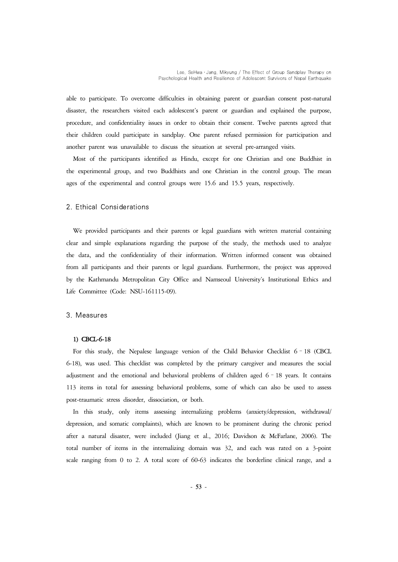able to participate. To overcome difficulties in obtaining parent or guardian consent post-natural disaster, the researchers visited each adolescent's parent or guardian and explained the purpose, procedure, and confidentiality issues in order to obtain their consent. Twelve parents agreed that their children could participate in sandplay. One parent refused permission for participation and another parent was unavailable to discuss the situation at several pre-arranged visits.

Most of the participants identified as Hindu, except for one Christian and one Buddhist in the experimental group, and two Buddhists and one Christian in the control group. The mean ages of the experimental and control groups were 15.6 and 15.5 years, respectively.

#### 2. Ethical Considerations

We provided participants and their parents or legal guardians with written material containing clear and simple explanations regarding the purpose of the study, the methods used to analyze the data, and the confidentiality of their information. Written informed consent was obtained from all participants and their parents or legal guardians. Furthermore, the project was approved by the Kathmandu Metropolitan City Office and Namseoul University's Institutional Ethics and Life Committee (Code: NSU-161115-09).

#### 3. Measures

#### 1) CBCL-6-18

For this study, the Nepalese language version of the Child Behavior Checklist 6–18 (CBCL 6-18), was used. This checklist was completed by the primary caregiver and measures the social adjustment and the emotional and behavioral problems of children aged 6–18 years. It contains 113 items in total for assessing behavioral problems, some of which can also be used to assess post-traumatic stress disorder, dissociation, or both.

In this study, only items assessing internalizing problems (anxiety/depression, withdrawal/ depression, and somatic complaints), which are known to be prominent during the chronic period after a natural disaster, were included (Jiang et al., 2016; Davidson & McFarlane, 2006). The total number of items in the internalizing domain was 32, and each was rated on a 3-point scale ranging from 0 to 2. A total score of 60-63 indicates the borderline clinical range, and a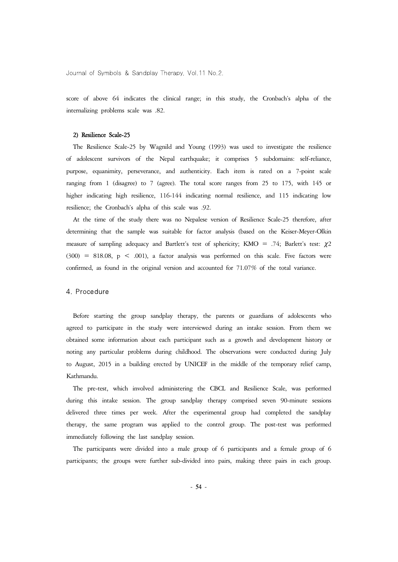score of above 64 indicates the clinical range; in this study, the Cronbach's alpha of the internalizing problems scale was .82.

#### 2) Resilience Scale-25

The Resilience Scale-25 by Wagnild and Young (1993) was used to investigate the resilience of adolescent survivors of the Nepal earthquake; it comprises 5 subdomains: self-reliance, purpose, equanimity, perseverance, and authenticity. Each item is rated on a 7-point scale ranging from 1 (disagree) to 7 (agree). The total score ranges from 25 to 175, with 145 or higher indicating high resilience, 116-144 indicating normal resilience, and 115 indicating low resilience; the Cronbach's alpha of this scale was .92.

At the time of the study there was no Nepalese version of Resilience Scale-25 therefore, after determining that the sample was suitable for factor analysis (based on the Keiser-Meyer-Olkin measure of sampling adequacy and Bartlett's test of sphericity; KMO = .74; Barlett's test:  $\chi$ 2  $(300)$  = 818.08, p < .001), a factor analysis was performed on this scale. Five factors were confirmed, as found in the original version and accounted for 71.07% of the total variance.

#### 4. Procedure

Before starting the group sandplay therapy, the parents or guardians of adolescents who agreed to participate in the study were interviewed during an intake session. From them we obtained some information about each participant such as a growth and development history or noting any particular problems during childhood. The observations were conducted during July to August, 2015 in a building erected by UNICEF in the middle of the temporary relief camp, Kathmandu.

The pre-test, which involved administering the CBCL and Resilience Scale, was performed during this intake session. The group sandplay therapy comprised seven 90-minute sessions delivered three times per week. After the experimental group had completed the sandplay therapy, the same program was applied to the control group. The post-test was performed immediately following the last sandplay session.

The participants were divided into a male group of 6 participants and a female group of 6 participants; the groups were further sub-divided into pairs, making three pairs in each group.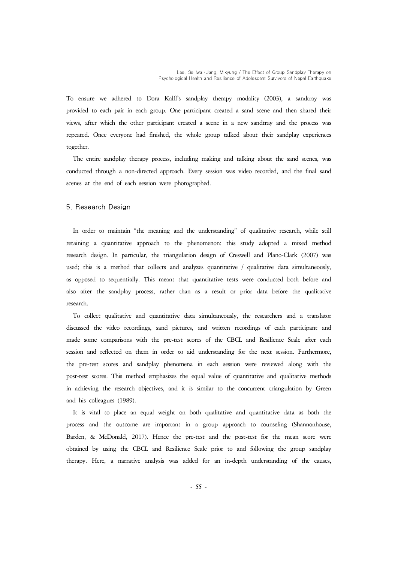To ensure we adhered to Dora Kalff's sandplay therapy modality (2003), a sandtray was provided to each pair in each group. One participant created a sand scene and then shared their views, after which the other participant created a scene in a new sandtray and the process was repeated. Once everyone had finished, the whole group talked about their sandplay experiences together.

The entire sandplay therapy process, including making and talking about the sand scenes, was conducted through a non-directed approach. Every session was video recorded, and the final sand scenes at the end of each session

#### 5. Research Design

In order to maintain "the meaning and the understanding" of qualitative research, while still retaining a quantitative approach to the phenomenon: this study adopted a mixed method research design. In particular, the triangulation design of Creswell and Plano-Clark (2007) was<br>used; this is a method that collects and analyzes quantitative / qualitative data simultaneously,<br>as opposed to sequentially. also after the sandplay process, rather than as a result or prior data before the qualitative research.

To collect qualitative and quantitative data simultaneously, the researchers and a translator discussed the video recordings, sand pictures, and written recordings of each participant and made some comparisons with the pre-test scores of the CBCL and Resilience Scale after each session and reflected on them in order to aid understanding for the next session. Furthermore, the pre-test scores and sandplay phenomena in each session were reviewed along with the post-test scores. This method emphasizes the equal value of quantitative and qualitative methods in achieving the research objectives, and it is similar to the concurrent triangulation by Green and his colleagues (1989).

It is vital to place an equal weight on both qualitative and quantitative data as both the process and the outcome are important in a group approach to counseling (Shannonhouse, Barden, & McDonald, 2017). Hence the pre-test and the post-test for the mean score were obtained by using the CBCL and Resilience Scale prior to and following the group sandplay therapy. Here, a narrative analysis was added for an in-depth understanding of the causes,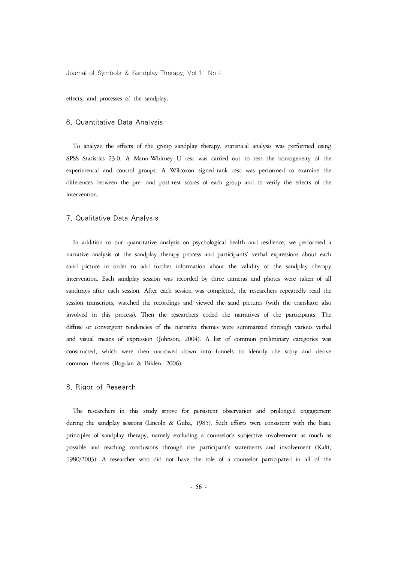effects, and processes of the sandplay.

#### 6. Quantitative Data Analysis

To analyze the effects of the group sandplay therapy, statistical analysis was performed using SPSS Statistics 23.0. A Mann-Whitney U test was carried out to test the homogeneity of the experimental and control groups. A Wilcoxon signed-rank test was performed to examine the differences between the pre- and post-test scores of each group and to verify the effects of the intervention.

#### 7. Qualitative Data Analysis

In addition to our quantitative analysis on psychological health and resilience, we performed a narrative analysis of the sandplay therapy process and participants' verbal expressions about each sand picture in order to add further information about the validity of the sandplay therapy intervention. Each sandplay session was recorded by three cameras and photos were taken of all sandtrays after each session. After each session was completed, the researchers repeatedly read the session transcripts, watched the recordings and viewed the sand pictures (with the translator also involved in this process). Then the researchers coded the narratives of the participants. The diffuse or convergent tendencies of the narrative themes were summarized through various verbal and visual means of expression (Johnson, 2004). A list of common preliminary categories was constructed, which were then narrowed down into funnels to identify the story and derive common themes (Bogdan & Biklen, 2006).

#### 8. Rigor of Research

The researchers in this study strove for persistent observation and prolonged engagement during the sandplay sessions (Lincoln & Guba, 1985). Such efforts were consistent with the basic principles of sandplay therapy, namely excluding a counselor's subjective involvement as much as possible and reaching conclusions through the participant's statements and involvement (Kalff, 1980/2003). A researcher who did not have the role of a counselor participated in all of the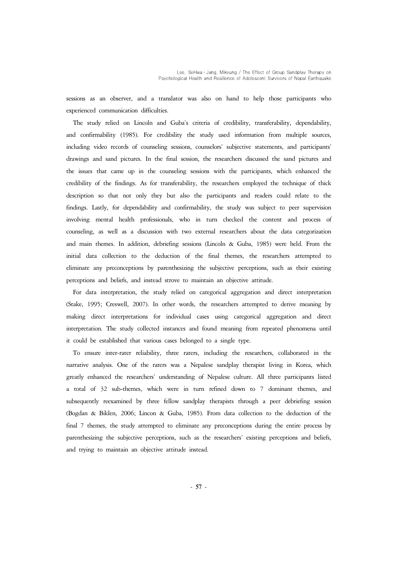sessions as an observer, and a translator was also on hand to help those participants who experienced communication difficulties.

The study relied on Lincoln and Guba's criteria of credibility, transferability, dependability, and confirmability (1985). For credibility the study used information from multiple sources, including video records of counseling sessions, counselors' subjective statements, and participants' drawings and sand pictures. In the final session, the researchers discussed the sand pictures and the issues that came up in the counseling sessions with the participants, which enhanced the credibility of the findings. As for transferability, the researchers employed the technique of thick description so that not only they but also the participants and readers could relate to the findings. Lastly, for dependability and confirmability, the study was subject to peer supervision involving mental health professionals, who in turn checked the content and process of counseling, as well as a discussion with two external researchers about the data categorization and main themes. In addition, debriefing sessions (Lincoln & Guba, 1985) were held. From the initial data collection to the deduction of the final themes, the researchers attempted to eliminate any preconceptions by parenthesizing the subjective perceptions, such as their existing perceptions and beliefs, and instead strove to maintain an objective attitude.

For data interpretation, the study relied on categorical aggregation and direct interpretation (Stake, 1995; Creswell, 2007). In other words, the researchers attempted to derive meaning by making direct interpretations for individual cases using categorical aggregation and direct interpretation. The study collected instances and found meaning from repeated phenomena until it could be established that various cases belonged to a single type.

To ensure inter-rater reliability, three raters, including the researchers, collaborated in the narrative analysis. One of the raters was a Nepalese sandplay therapist living in Korea, which greatly enhanced the researchers' understanding of Nepalese culture. All three participants listed a total of 32 sub-themes, which were in turn refined down to 7 dominant themes, and subsequently reexamined by three fellow sandplay therapists through a peer debriefing session (Bogdan & Biklen, 2006; Lincon & Guba, 1985). From data collection to the deduction of the final 7 themes, the study attempted to eliminate any preconceptions during the entire process by parenthesizing the subjective perceptions, such as the researchers' existing perceptions and beliefs, and trying to maintain an objective attitude instead.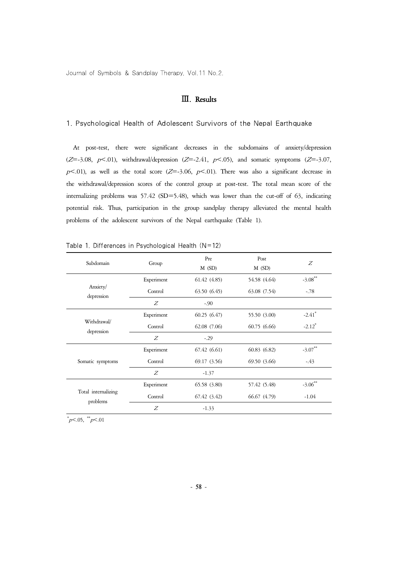# Ⅲ. Results

#### 1. Psychological Health of Adolescent Survivors of the Nepal Earthquake

At post-test, there were significant decreases in the subdomains of anxiety/depression  $(Z=-3.08, p<.01)$ , withdrawal/depression  $(Z=-2.41, p<.05)$ , and somatic symptoms  $(Z=-3.07, p<.01)$  $p<.01$ ), as well as the total score (Z=-3.06,  $p<.01$ ). There was also a significant decrease in the withdrawal/depression scores of the control group at post-test. The total mean score of the internalizing problems was 57.42 (SD=5.48), which was lower than the cut-off of 63, indicating potential risk. Thus, participation in the group sandplay therapy alleviated the mental health problems of the adolescent survivors of the Nepal earthquake (Table 1).

| Subdomain                       | Group      | Pre<br>$M$ (SD) | Post<br>$M$ (SD) | Z                    |
|---------------------------------|------------|-----------------|------------------|----------------------|
| Anxiety/<br>depression          | Experiment | 61.42(4.85)     | 54.58 (4.64)     | $-3.08$ **           |
|                                 | Control    | 63.50 (6.45)    | 63.08 (7.54)     | $-.78$               |
|                                 | Z          | $-.90$          |                  |                      |
| Withdrawal/<br>depression       | Experiment | 60.25(6.47)     | 55.50 (3.00)     | $-2.41$ <sup>*</sup> |
|                                 | Control    | 62.08 (7.06)    | 60.75(6.66)      | $-2.12^*$            |
|                                 | Z          | $-.29$          |                  |                      |
| Somatic symptoms                | Experiment | 67.42(6.61)     | 60.83(6.82)      | $-3.07***$           |
|                                 | Control    | 69.17 (3.56)    | 69.50 (3.66)     | $-43$                |
|                                 | Z          | $-1.37$         |                  |                      |
| Total internalizing<br>problems | Experiment | 65.58 (3.80)    | 57.42 (5.48)     | $-3.06***$           |
|                                 | Control    | 67.42 (3.42)    | 66.67 (4.79)     | $-1.04$              |
|                                 | Z          | $-1.33$         |                  |                      |

|  | Table 1. Differences in Psychological Health $(N=12)$ |  |  |  |
|--|-------------------------------------------------------|--|--|--|
|  |                                                       |  |  |  |

 $p<05$ ,  $\frac{1}{p}<01$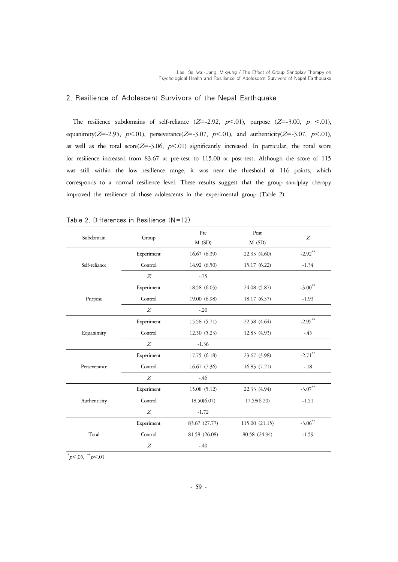## 2. Resilience of Adolescent Survivors of the Nepal Earthquake

The resilience subdomains of self-reliance  $(Z=-2.92, p<0.01)$ , purpose  $(Z=-3.00, p <0.01)$ , equanimity( $Z=-2.95$ ,  $p<-01$ ), perseverance( $Z=-3.07$ ,  $p<-01$ ), and authenticity( $Z=-3.07$ ,  $p<-01$ ), as well as the total score( $Z=-3.06$ ,  $p<-01$ ) significantly increased. In particular, the total score for resilience increased from 83.67 at pre-test to 115.00 at post-test. Although the score of 115 was still within the low resilience range, it was near the threshold of 116 points, which corresponds to a normal resilience level. These results suggest that the group sandplay therapy improved the resilience of those adolescents in the experimental group (Table 2).

| Subdomain     | Group      | Pre<br>$M$ (SD) | Post<br>$M$ (SD) | Z          |
|---------------|------------|-----------------|------------------|------------|
|               | Experiment | 16.67 (6.39)    | 22.33 (4.60)     | $-2.92$ ** |
| Self-reliance | Control    | 14.92 (6.50)    | 15.17 (6.22)     | $-1.34$    |
|               | Z          | $-75$           |                  |            |
|               | Experiment | 18.58 (6.05)    | 24.08 (5.87)     | $-3.00**$  |
| Purpose       | Control    | 19.00 (6.98)    | 18.17 (6.37)     | $-1.93$    |
|               | Z          | $-.20$          |                  |            |
|               | Experiment | 15.58 (5.71)    | 22.58 (4.64)     | $-2.95***$ |
| Equanimity    | Control    | 12.50(5.23)     | 12.83 (4.93)     | $-45$      |
|               | Z          | $-1.36$         |                  |            |
|               | Experiment | 17.75 (6.18)    | 23.67 (3.98)     | $-2.71$ ** |
| Perseverance  | Control    | 16.67 (7.36)    | 16.83 (7.21)     | $-.18$     |
|               | Z          | $-46$           |                  |            |
|               | Experiment | 15.08 (5.12)    | 22.33 (4.94)     | $-3.07**$  |
| Authenticity  | Control    | 18.50(6.07)     | 17.58(6.20)      | $-1.51$    |
|               | Z          | $-1.72$         |                  |            |
|               | Experiment | 83.67 (27.77)   | 115.00 (21.15)   | $-3.06**$  |
| Total         | Control    | 81.58 (26.08)   | 80.58 (24.94)    | $-1.59$    |
|               | Z          | $-40$           |                  |            |

| Table 2. Differences in Resilience $(N=12)$ |  |  |
|---------------------------------------------|--|--|
|---------------------------------------------|--|--|

 $p<05$ ,  $\frac{1}{p}<01$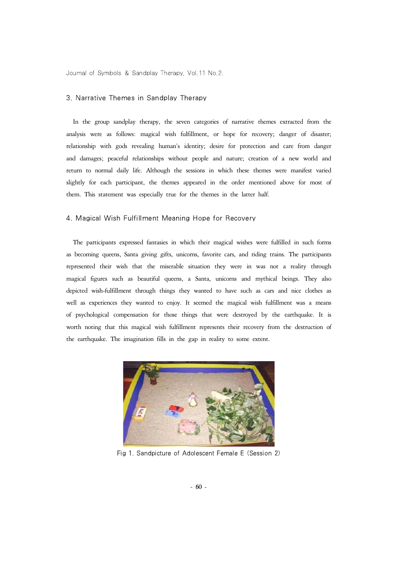#### 3. Narrative Themes in Sandplay Therapy

In the group sandplay therapy, the seven categories of narrative themes extracted from the analysis were as follows: magical wish fulfillment, or hope for recovery; danger of disaster; relationship with gods revealing human's identity; desire for protection and care from danger and damages; peaceful relationships without people and nature; creation of a new world and return to normal daily life. Although the sessions in which these themes were manifest varied slightly for each participant, the themes appeared in the order mentioned above for most of them. This statement was especially true for the themes in the latter half.

#### 4. Magical Wish Fulfillment Meaning Hope for Recovery

The participants expressed fantasies in which their magical wishes were fulfilled in such forms as becoming queens, Santa giving gifts, unicorns, favorite cars, and riding trains. The participants represented their wish that the miserable situation they were in was not a reality through magical figures such as beautiful queens, a Santa, unicorns and mythical beings. They also depicted wish-fulfillment through things they wanted to have such as cars and nice clothes as<br>well as experiences they wanted to enjoy. It seemed the magical wish fulfillment was a means<br>of psychological compensation for t worth noting that this magical wish fulfillment represents their recovery from the destruction of the earthquake. The imagination fills in the gap in reality to some extent.



Fig 1. Sandpicture of Adolescent Female E (Session 2)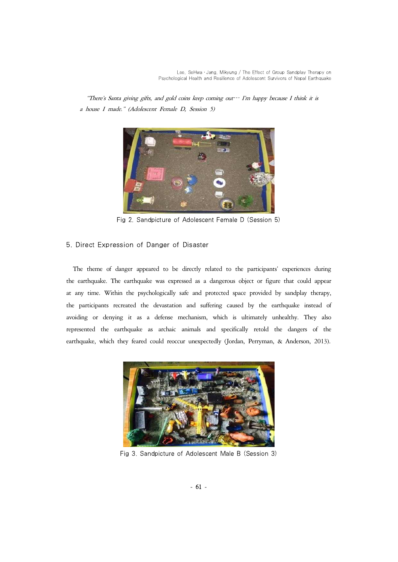"There's Santa giving gifts, and gold coins keep coming out… I'm happy because I think it is a house I made." (Adolescent Female D, Session 5)



Fig 2. Sandpicture of Adolescent Female D (Session 5)

# 5. Direct Expression of Danger of Disaster

The theme of danger appeared to be directly related to the participants' experiences during the earthquake. The earthquake was expressed as a dangerous object or figure that could appear at any time. Within the psychologically safe and protected space provided by sandplay therapy, the participants recreated the devastation and suffering caused by the earthquake instead of avoiding or denying it as a defense mechanism, which is ultimately unhealthy. They also represented the earthquake as archaic animals and specifically retold the dangers of the earthquake, which they feared could reoccur unexpectedly (Jordan, Perryman, & Anderson, 2013).



Fig 3. Sandpicture of Adolescent Male B (Session 3)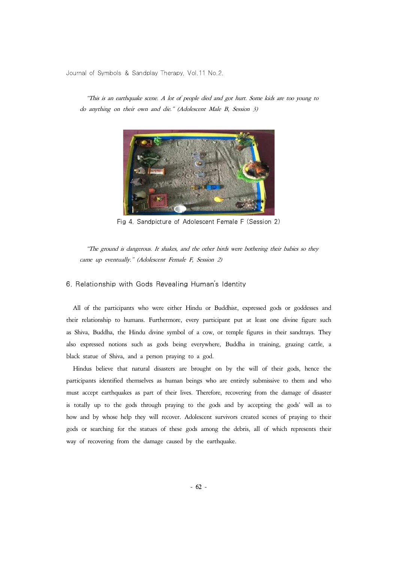"This is an earthquake scene. A lot of people died and got hurt. Some kids are too young to do anything on their own and die." (Adolescent Male B, Session 3)

Fig 4. Sandpicture of Adolescent Female F (Session 2)

"The ground is dangerous. It shakes, and the other birds were bothering their babies so they came up eventually." (Adolescent Female F, Session 2)

#### 6. Relationship with Gods Revealing Human's Identity

All of the participants who were either Hindu or Buddhist, expressed gods or goddesses and their relationship to humans. Furthermore, every participant put at least one divine figure such as Shiva, Buddha, the Hindu divine symbol of a cow, or temple figures in their sandtrays. They also expressed notions such as gods being everywhere, Buddha in training, grazing cattle, a black statue of Shiva, and a person praying to a god.

Hindus believe that natural disasters are brought on by the will of their gods, hence the participants identified themselves as human beings who are entirely submissive to them and who must accept earthquakes as part of their lives. Therefore, recovering from the damage of disaster is totally up to the gods through praying to the gods and by accepting the gods' will as to how and by whose help they will recover. Adolescent survivors created scenes of praying to their gods or searching for the statues of these gods among the debris, all of which represents their way of recovering from the damage caused by the earthquake.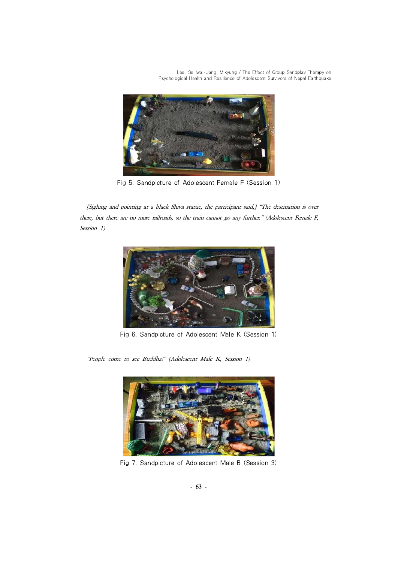Lee, SeHwa · Jang, Mikyung / The Effect of Group Sandplay Therapy on Psychological Health and Resilience of Adolescent Survivors of Nepal Earthquake



Fig 5. Sandpicture of Adolescent Female F (Session 1)

[Sighing and pointing at a black Shiva statue, the participant said,] "The destination is over there, but there are no more railroads, so the train cannot go any further." (Adolescent Female F, Session 1)



Fig 6. Sandpicture of Adolescent Male K (Session 1)

"People come to see Buddha!" (Adolescent Male K, Session 1)



Fig 7. Sandpicture of Adolescent Male B (Session 3)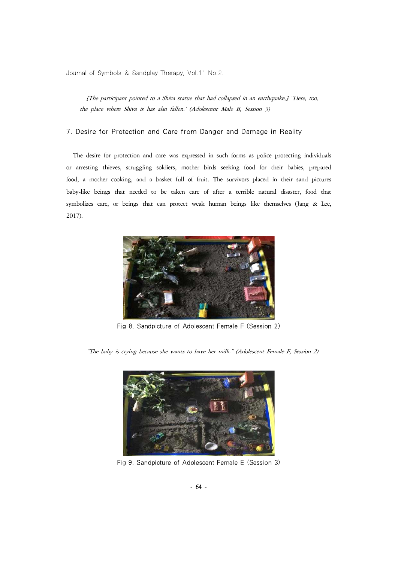[The participant pointed to a Shiva statue that had collapsed in an earthquake,] "Here, too, the place where Shiva is has also fallen.' (Adolescent Male B, Session 3)

### 7. Desire for Protection and Care from Danger and Damage in Reality

The desire for protection and care was expressed in such forms as police protecting individuals or arresting thieves, struggling soldiers, mother birds seeking food for their babies, prepared food, a mother cooking, and a basket full of fruit. The survivors placed in their sand pictures baby-like beings that needed to be taken care of after a terrible natural disaster, food that symbolizes care, or beings that can protect weak human beings like themselves (Jang & Lee, 2017).



Fig 8. Sandpicture of Adolescent Female F (Session 2)

"The baby is crying because she wants to have her milk." (Adolescent Female F, Session 2)



Fig 9. Sandpicture of Adolescent Female E (Session 3)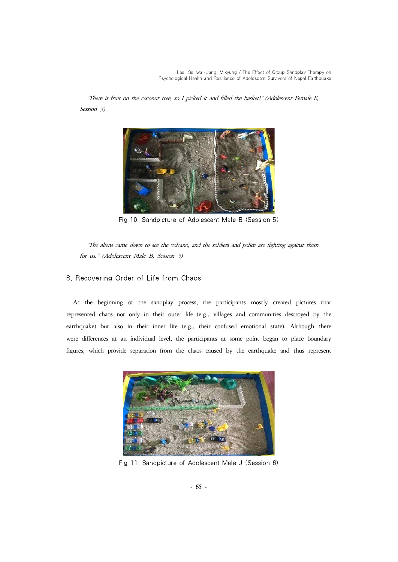Lee, SeHwa · Jang, Mikyung / The Effect of Group Sandplay Therapy on Psychological Health and Resilience of Adolescent Survivors of Nepal Earthquake

"There is fruit on the coconut tree, so I picked it and filled the basket!" (Adolescent Female E, Session 3)



Fig 10. Sandpicture of Adolescent Male B (Session 5)

"The aliens came down to see the volcano, and the soldiers and police are fighting against them for us." (Adolescent Male B, Session 5)

# 8. Recovering Order of Life from Chaos

At the beginning of the sandplay process, the participants mostly created pictures that represented chaos not only in their outer life (e.g., villages and communities destroyed by the earthquake) but also in their inner life (e.g., their confused emotional state). Although there were differences at an individual level, the participants at some point began to place boundary figures, which provide separation from the chaos caused by the earthquake and thus represent



Fig 11. Sandpicture of Adolescent Male J (Session 6)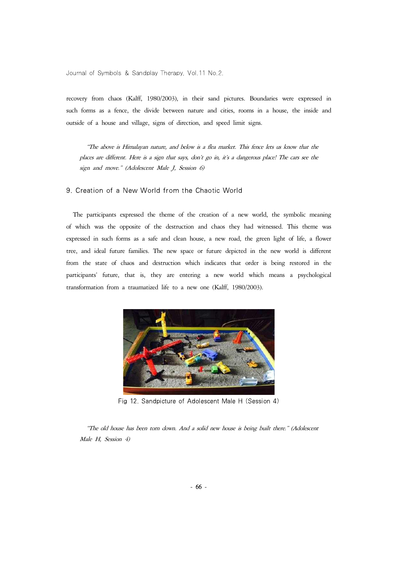recovery from chaos (Kalff, 1980/2003), in their sand pictures. Boundaries were expressed in such forms as a fence, the divide between nature and cities, rooms in a house, the inside and outside of a house and village, signs of direction, and speed limit signs.

"The above is Himalayan nature, and below is a flea market. This fence lets us know that the places are different. Here is a sign that says, don't go in, it's a dangerous place! The cars see the sign and move." (Adolescent Male J, Session 6)

9. Creation of a New World from the Chaotic World

The participants expressed the theme of the creation of a new world, the symbolic meaning of which was the opposite of the destruction and chaos they had witnessed. This theme was expressed in such forms as a safe and clean house, a new road, the green light of life, a flower tree, and ideal future families. The new space or future depicted in the new world is different from the state of chaos and destruction which indicates that order is being restored in the participants' future, that is, they are entering a new world which means a psychological transformation from a traumatized life to a new one (Kalff, 1980/2003).



Fig 12. Sandpicture of Adolescent Male H (Session 4)

"The old house has been torn down. And a solid new house is being built there." (Adolescent Male H, Session 4)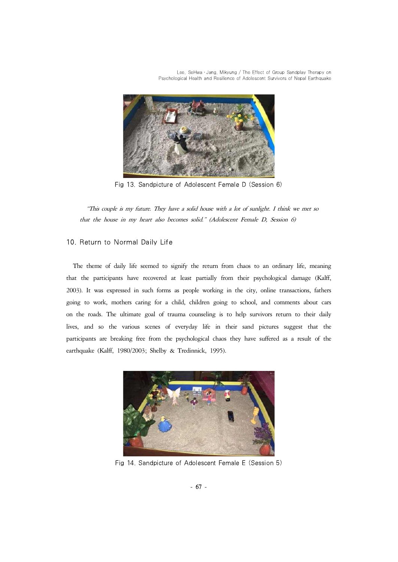Lee, SeHwa · Jang, Mikyung / The Effect of Group Sandplay Therapy on Psychological Health and Resilience of Adolescent Survivors of Nepal Earthquake



Fig 13. Sandpicture of Adolescent Female D (Session 6)

"This couple is my future. They have a solid house with a lot of sunlight. I think we met so that the house in my heart also becomes solid." (Adolescent Female D, Session 6)

# 10. Return to Normal Daily Life

The theme of daily life seemed to signify the return from chaos to an ordinary life, meaning that the participants have recovered at least partially from their psychological damage (Kalff, 2003). It was expressed in such forms as people working in the city, online transactions, fathers going to work, mothers caring for a child, children going to school, and comments about cars on the roads. The ultimate goal of trauma counseling is to help survivors return to their daily lives, and so the various scenes of everyday life in their sand pictures suggest that the participants are breaking free from the psychological chaos they have suffered as a result of the earthquake (Kalff, 1980/2003; Shelby & Tredinnick, 1995).



Fig 14. Sandpicture of Adolescent Female E (Session 5)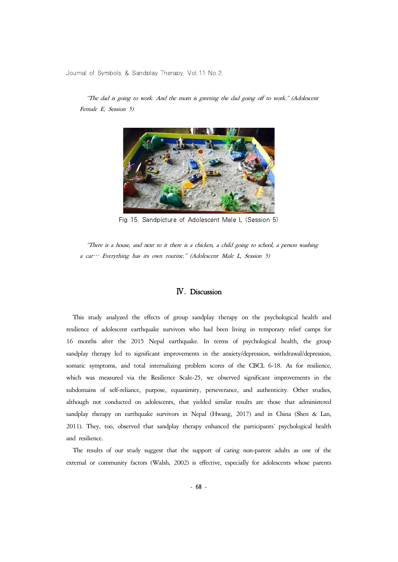Female E, Session 5)

"The dad is going to work. And the mom is greeting the dad going off to work." (Adolescent

Fig 15. Sandpicture of Adolescent Male L (Session 5)

"There is a house, and next to it there is a chicken, a child going to school, a person washing a car… Everything has its own routine." (Adolescent Male L, Session 5)

# Ⅳ. Discussion

This study analyzed the effects of group sandplay therapy on the psychological health and resilience of adolescent earthquake survivors who had been living in temporary relief camps for 16 months after the 2015 Nepal earthquake. In terms of psychological health, the group sandplay therapy led to significant improvements in the anxiety/depression, withdrawal/depression, somatic symptoms, and total internalizing problem scores of the CBCL 6-18. As for resilience, which was measured via the Resilience Scale-25, we observed significant improvements in the subdomains of self-reliance, purpose, equanimity, perseverance, and authenticity. Other studies, although not conducted on adolescents, that yielded similar results are those that administered sandplay therapy on earthquake survivors in Nepal (Hwang, 2017) and in China (Shen & Lan, 2011). They, too, observed that sandplay therapy enhanced the participants' psychological health and resilience.

The results of our study suggest that the support of caring non-parent adults as one of the external or community factors (Walsh, 2002) is effective, especially for adolescents whose parents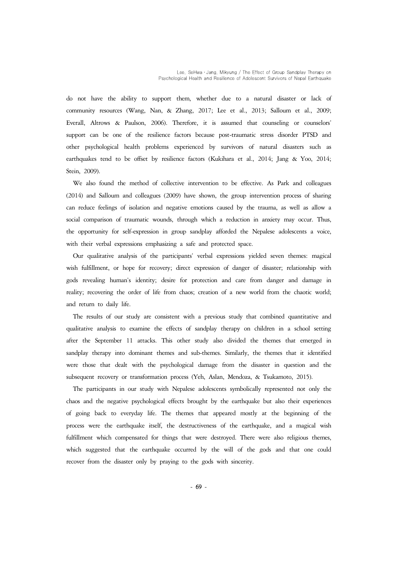do not have the ability to support them, whether due to a natural disaster or lack of community resources (Wang, Nan, & Zhang, 2017; Lee et al., 2013; Salloum et al., 2009; Everall, Altrows & Paulson, 2006). Therefore, it is assumed that counseling or counselors' support can be one of the resilience factors because post-traumatic stress disorder PTSD and other psychological health problems experienced by survivors of natural disasters such as earthquakes tend to be offset by resilience factors (Kukihara et al., 2014; Jang & Yoo, 2014; Stein, 2009).

We also found the method of collective intervention to be effective. As Park and colleagues (2014) and Salloum and colleagues (2009) have shown, the group intervention process of sharing<br>can reduce feelings of isolation and negative emotions caused by the trauma, as well as allow a<br>social comparison of traumatic the opportunity for self-expression in group sandplay afforded the Nepalese adolescents a voice, with their verbal expressions emphasizing a safe and protected space.

Our qualitative analysis of the participants' verbal expressions yielded seven themes: magical wish fulfillment, or hope for recovery; direct expression of danger of disaster; relationship with gods revealing human's identity; desire for protection and care from danger and damage in reality; recovering the order of life from chaos; creation of a new world from the chaotic world; and return to daily life.

The results of our study are consistent with a previous study that combined quantitative and qualitative analysis to examine the effects of sandplay therapy on children in a school setting after the September 11 attacks. This other study also divided the themes that emerged in sandplay therapy into dominant themes and sub-themes. Similarly, the themes that it identified were those that dealt with the psychological damage from the disaster in question and the subsequent recovery or transformation process (Yeh, Aslan, Mendoza, & Tsukamoto, 2015).

The participants in our study with Nepalese adolescents symbolically represented not only the chaos and the negative psychological effects brought by the earthquake but also their experiences of going back to everyday life. The themes that appeared mostly at the beginning of the process were the earthquake itself, the destructiveness of the earthquake, and a magical wish fulfillment which compensated for things that were destroyed. There were also religious themes, which suggested that the earthquake occurred by the will of the gods and that one could recover from the disaster only by praying to the gods with sincerity.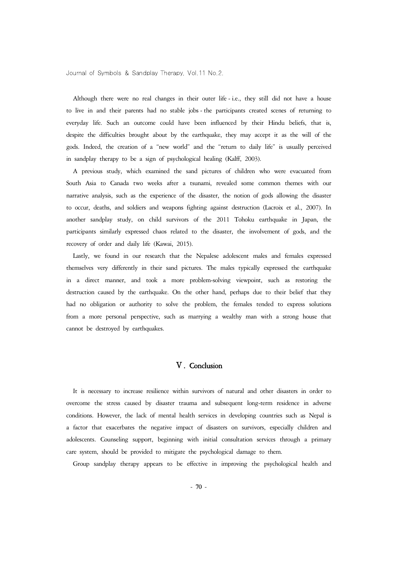Although there were no real changes in their outer life -i.e., they still did not have a house to live in and their parents had no stable jobs - the participants created scenes of returning to everyday life. Such an outcome could have been influenced by their Hindu beliefs, that is, despite the difficulties brought about by the earthquake, they may accept it as the will of the gods. Indeed, the creation of a "new world" and the "return to daily life" is usually perceived in sandplay therapy to be a sign of psychological healing (Kalff, 2003).

A previous study, which examined the sand pictures of children who were evacuated from South Asia to Canada two weeks after a tsunami, revealed some common themes with our narrative analysis, such as the experience of the disaster, the notion of gods allowing the disaster to occur, deaths, and soldiers and weapons fighting against destruction (Lacroix et al., 2007). In another sandplay study, on child survivors of the 2011 Tohoku earthquake in Japan, the participants similarly expressed chaos related to the disaster, the involvement of gods, and the recovery of order and daily life (Kawai, 2015).

Lastly, we found in our research that the Nepalese adolescent males and females expressed themselves very differently in their sand pictures. The males typically expressed the earthquake in a direct manner, and took a more problem-solving viewpoint, such as restoring the destruction caused by the earthquake. On the other hand, perhaps due to their belief that they had no obligation or authority to solve the problem, the females tended to express solutions from a more personal perspective, such as marrying a wealthy man with a strong house that cannot be destroyed by earthquakes.

# Ⅴ. Conclusion

It is necessary to increase resilience within survivors of natural and other disasters in order to overcome the stress caused by disaster trauma and subsequent long-term residence in adverse conditions. However, the lack of mental health services in developing countries such as Nepal is a factor that exacerbates the negative impact of disasters on survivors, especially children and adolescents. Counseling support, beginning with initial consultation services through a primary care system, should be provided to mitigate the psychological damage to them.

Group sandplay therapy appears to be effective in improving the psychological health and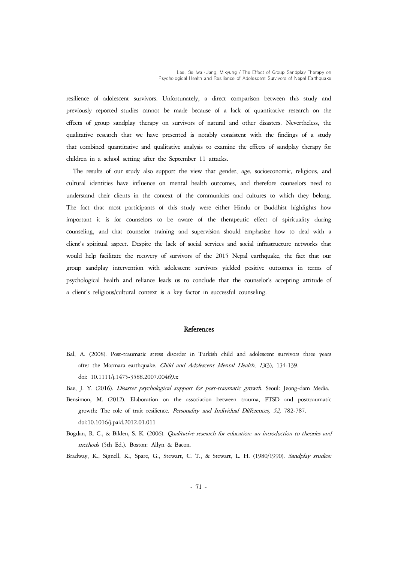resilience of adolescent survivors. Unfortunately, a direct comparison between this study and previously reported studies cannot be made because of a lack of quantitative research on the effects of group sandplay therapy on survivors of natural and other disasters. Nevertheless, the qualitative research that we have presented is notably consistent with the findings of a study that combined quantitative and qualitative analysis to examine the effects of sandplay therapy for children in a school setting after the September 11 attacks.

The results of our study also support the view that gender, age, socioeconomic, religious, and cultural identities have influence on mental health outcomes, and therefore counselors need to understand their clients in the context of the communities and cultures to which they belong. The fact that most participants of this study were either Hindu or Buddhist highlights how important it is for counselors to be aware of the therapeutic effect of spirituality during counseling, and that counselor training and supervision should emphasize how to deal with a client's spiritual aspect. Despite the lack of social services and social infrastructure networks that would help facilitate the recovery of survivors of the 2015 Nepal earthquake, the fact that our group sandplay intervention with adolescent survivors yielded positive outcomes in terms of psychological health and reliance leads us to conclude that the counselor's accepting attitude of a client's religious/cultural context is a key factor in successful counseling.

#### **References**

- Bal, A. (2008). Post-traumatic stress disorder in Turkish child and adolescent survivors three years after the Marmara earthquake. Child and Adolescent Mental Health, 13(3), 134-139. doi: 10.1111/j.1475-3588.2007.00469.x
- Bae, J. Y. (2016). Disaster psychological support for post-traumatic growth. Seoul: Jeong-dam Media.
- Bensimon, M. (2012). Elaboration on the association between trauma, PTSD and posttraumatic growth: The role of trait resilience. Personality and Individual Differences, 52, 782-787. doi:10.1016/j.paid.2012.01.011
- Bogdan, R. C., & Biklen, S. K. (2006). Qualitative research for education: an introduction to theories and methods (5th Ed.). Boston: Allyn & Bacon.

Bradway, K., Signell, K., Spare, G., Stewart, C. T., & Stewart, L. H. (1980/1990). Sandplay studies: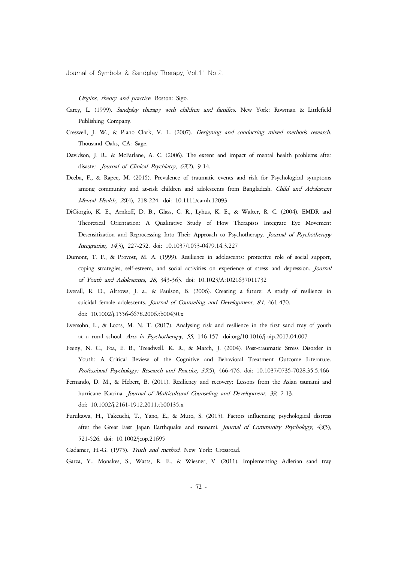Origins, theory and practice. Boston: Sigo.

- Carey, L. (1999). Sandplay therapy with children and families. New York: Rowman & Littlefield Publishing Company.
- Creswell, J. W., & Plano Clark, V. L. (2007). Designing and conducting mixed methods research. Thousand Oaks, CA: Sage.
- Davidson, J. R., & McFarlane, A. C. (2006). The extent and impact of mental health problems after disaster. Journal of Clinical Psychiatry, 67(2), 9-14.
- Deeba, F., & Rapee, M. (2015). Prevalence of traumatic events and risk for Psychological symptoms among community and at-risk children and adolescents from Bangladesh. Child and Adolescent Mental Health, <sup>20</sup>(4), 218-224. doi: 10.1111/camh.12093
- DiGiorgio, K. E., Arnkoff, D. B., Glass, C. R., Lyhus, K. E., & Walter, R. C. (2004). EMDR and Theoretical Orientation: A Qualitative Study of How Therapists Integrate Eye Movement Desensitization and Reprocessing Into Their Approach to Psychotherapy. Journal of Psychotherapy Integration, 14(3), 227-252. doi: 10.1037/1053-0479.14.3.227
- Dumont, T. F., & Provost, M. A. (1999). Resilience in adolescents: protective role of social support, coping strategies, self-esteem, and social activities on experience of stress and depression. Journal of Youth and Adolescents, 28, 343-363. doi: 10.1023/A:1021637011732
- Everall, R. D., Altrows, J. a., & Paulson, B. (2006). Creating a future: A study of resilience in suicidal female adolescents. Journal of Counseling and Development, 84, 461-470. doi: 10.1002/j.1556-6678.2006.tb00430.x
- Eversohn, L., & Loots, M. N. T. (2017). Analysing risk and resilience in the first sand tray of youth at a rural school. Arts in Psychotherapy, 55, 146-157. doi:org/10.1016/j-aip.2017.04.007
- Feeny, N. C., Foa, E. B., Treadwell, K. R., & March, J. (2004). Post-traumatic Stress Disorder in Youth: A Critical Review of the Cognitive and Behavioral Treatment Outcome Literature. Professional Psychology: Research and Practice, 35(5), 466-476. doi: 10.1037/0735-7028.35.5.466
- Fernando, D. M., & Hebert, B. (2011). Resiliency and recovery: Lessons from the Asian tsunami and hurricane Katrina. Journal of Multicultural Counseling and Development, 39, 2-13. doi: 10.1002/j.2161-1912.2011.tb00135.x
- Furukawa, H., Takeuchi, T., Yano, E., & Muto, S. (2015). Factors influencing psychological distress after the Great East Japan Earthquake and tsunami. Journal of Community Psychology,  $43(5)$ , 521-526. doi: 10.1002/jcop.21695
- Gadamer, H.-G. (1975). Truth and method. New York: Crossroad.
- Garza, Y., Monakes, S., Watts, R. E., & Wiesner, V. (2011). Implementing Adlerian sand tray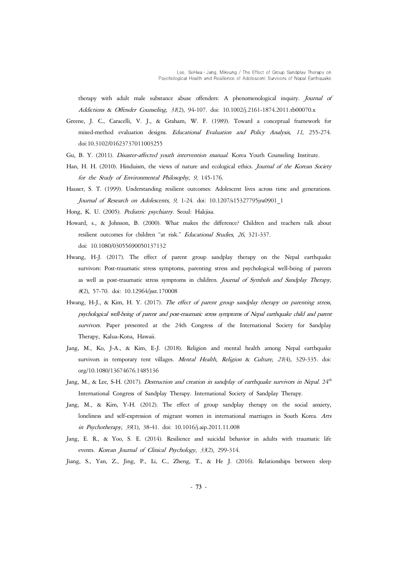therapy with adult male substance abuse offenders: A phenomenological inquiry. Journal of Addictions & Offender Counseling, 31(2), 94-107. doi: 10.1002/j.2161-1874.2011.tb00070.x

- Greene, J. C., Caracelli, V. J., & Graham, W. F. (1989). Toward a conceptual framework for mixed-method evaluation designs. Educational Evaluation and Policy Analysis, 11, 255-274. doi:10.3102/01623737011003255
- Gu, B. Y. (2011). Disaster-affected youth intervention manual. Korea Youth Counseling Institute.
- Han, H. H. (2010). Hinduism, the views of nature and ecological ethics. Journal of the Korean Society for the Study of Environmental Philosophy, 9, 145-176.
- Hauser, S. T. (1999). Understanding resilient outcomes: Adolescent lives across time and generations. Journal of Research on Adolescents, 9, 1-24. doi: 10.1207/s15327795jra0901\_1
- Hong, K. U. (2005). Pediatric psychiatry. Seoul: Hakjisa.
- Howard, s., & Johnson, B. (2000). What makes the difference? Children and teachers talk about resilient outcomes for children "at risk." Educational Studies, 26, 321-337. doi: 10.1080/03055690050137132
- Hwang, H-J. (2017). The effect of parent group sandplay therapy on the Nepal earthquake survivors: Post-traumatic stress symptoms, parenting stress and psychological well-being of parents as well as post-traumatic stress symptoms in children. Journal of Symbols and Sandplay Therapy, <sup>8</sup>(2), 57-70. doi: 10.12964/jsst.170008
- Hwang, H-J., & Kim, H. Y. (2017). The effect of parent group sandplay therapy on parenting stress, psychological well-being of parent and post-traumatic stress symptoms of Nepal earthquake child and parent survivors. Paper presented at the 24th Congress of the International Society for Sandplay Therapy, Kalua-Kona, Hawaii.
- Jang, M., Ko, J-A., & Kim, E-J. (2018). Religion and mental health among Nepal earthquake survivors in temporary tent villages. Mental Health, Religion & Culture, 21(4), 329-335. doi: org/10.1080/13674676.1485136
- Jang, M., & Lee, S-H. (2017). Destruction and creation in sandplay of earthquake survivors in Nepal.  $24<sup>th</sup>$ International Congress of Sandplay Therapy. International Society of Sandplay Therapy.
- Jang, M., & Kim, Y-H. (2012). The effect of group sandplay therapy on the social anxiety, loneliness and self-expression of migrant women in international marriages in South Korea. Arts in Psychotherapy, 39(1), 38-41. doi: 10.1016/j.aip.2011.11.008
- Jang, E. R., & Yoo, S. E. (2014). Resilience and suicidal behavior in adults with traumatic life events. Korean Journal of Clinical Psychology, 33(2), 299-314.

Jiang, S., Yan, Z., Jing, P., Li, C., Zheng, T., & He J. (2016). Relationships between sleep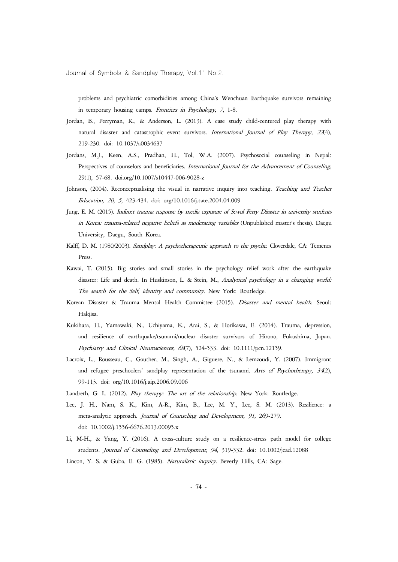problems and psychiatric comorbidities among China's Wenchuan Earthquake survivors remaining in temporary housing camps. Frontiers in Psychology, 7, 1-8.

- Jordan, B., Perryman, K., & Anderson, L. (2013). A case study child-centered play therapy with natural disaster and catastrophic event survivors. International Journal of Play Therapy, 22(4), 219-230. doi: 10.1037/a0034637
- Jordans, M.J., Keen, A.S., Pradhan, H., Tol, W.A. (2007). Psychosocial counseling in Nepal: Perspectives of counselors and beneficiaries. *International Journal for the Advancement of Counseling*, 29(1), 57-68. doi.org/10.1007/s10447-006-9028-z
- Johnson, (2004). Reconceptualising the visual in narrative inquiry into teaching. Teaching and Teacher Education, 20, 5, 423-434. doi: org/10.1016/j.tate.2004.04.009
- Jung, E. M. (2015). Indirect trauma response by media exposure of Sewol Ferry Disaster in university students in Korea: trauma-related negative beliefs as moderating variables (Unpublished master's thesis). Daegu University, Daegu, South Korea.
- Kalff, D. M. (1980/2003). Sandplay: A psychotherapeutic approach to the psyche. Cloverdale, CA: Temenos Press.
- Kawai, T. (2015). Big stories and small stories in the psychology relief work after the earthquake disaster: Life and death. In Huskinson, L. & Stein, M., Analytical psychology in a changing world: The search for the Self, identity and community. New York: Routledge.
- Korean Disaster & Trauma Mental Health Committee (2015). Disaster and mental health. Seoul: Hakjisa.
- Kukihara, H., Yamawaki, N., Uchiyama, K., Arai, S., & Horikawa, E. (2014). Trauma, depression, and resilience of earthquake/tsunami/nuclear disaster survivors of Hirono, Fukushima, Japan. Psychiatry and Clinical Neurosciences, 68(7), 524-533. doi: 10.1111/pcn.12159.
- Lacroix, L., Rousseau, C., Gauther, M., Singh, A., Giguere, N., & Lemzoudi, Y. (2007). Immigrant and refugee preschoolers' sandplay representation of the tsunami. Arts of Psychotherapy, 34(2), 99-113. doi: org/10.1016/j.aip.2006.09.006
- Landreth, G. L. (2012). Play therapy: The art of the relationship. New York: Routledge.
- Lee, J. H., Nam, S. K., Kim, A-R., Kim, B., Lee, M. Y., Lee, S. M. (2013). Resilience: a meta-analytic approach. Journal of Counseling and Development, 91, 269-279. doi: 10.1002/j.1556-6676.2013.00095.x
- Li, M-H., & Yang, Y. (2016). A cross-culture study on a resilience-stress path model for college students. Journal of Counseling and Development, 94, 319-332. doi: 10.1002/jcad.12088
- Lincon, Y. S. & Guba, E. G. (1985). Naturalistic inquiry. Beverly Hills, CA: Sage.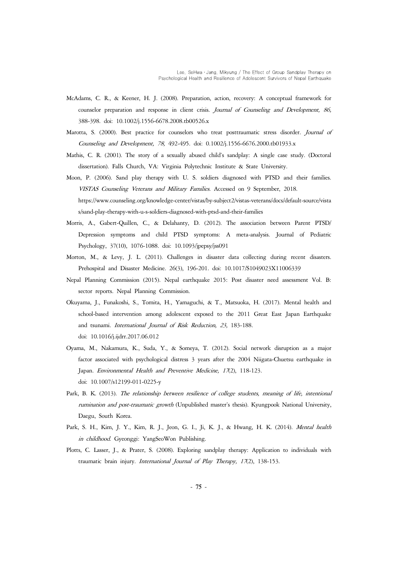- McAdams, C. R., & Keener, H. J. (2008). Preparation, action, recovery: A conceptual framework for counselor preparation and response in client crisis. Journal of Counseling and Development, 86, 388-398. doi: 10.1002/j.1556-6678.2008.tb00526.x
- Marotta, S. (2000). Best practice for counselors who treat posttraumatic stress disorder. Journal of Counseling and Development, 78, 492-495. doi: 0.1002/j.1556-6676.2000.tb01933.x
- Mathis, C. R. (2001). The story of a sexually abused child's sandplay: A single case study. (Doctoral dissertation). Falls Church, VA: Virginia Polytechnic Institute & State University.
- Moon, P. (2006). Sand play therapy with U. S. soldiers diagnosed with PTSD and their families. VISTAS Counseling Veterans and Military Families. Accessed on 9 September, 2018.
	- https://www.counseling.org/knowledge-center/vistas/by-subject2/vistas-veterans/docs/default-source/vista s/sand-play-therapy-with-u-s-soldiers-diagnosed-with-ptsd-and-their-families
- Morris, A., Gabert-Quillen, C., & Delahanty, D. (2012). The association between Parent PTSD/ Depression symptoms and child PTSD symptoms: A meta-analysis. Journal of Pediatric Psychology, 37(10), 1076-1088. doi: 10.1093/jpepsy/jss091
- Morton, M., & Levy, J. L. (2011). Challenges in disaster data collecting during recent disasters. Prehospital and Disaster Medicine. 26(3), 196-201. doi: 10.1017/S1049023X11006339
- Nepal Planning Commission (2015). Nepal earthquake 2015: Post disaster need assessment Vol. B: sector reports. Nepal Planning Commission.
- Okuyama, J., Funakoshi, S., Tomita, H., Yamaguchi, & T., Matsuoka, H. (2017). Mental health and school-based intervention among adolescent exposed to the 2011 Great East Japan Earthquake and tsunami. International Journal of Risk Reduction, 23, 183-188. doi: 10.1016/j.ijdrr.2017.06.012
- Oyama, M., Nakamura, K., Suda, Y., & Someya, T. (2012). Social network disruption as a major factor associated with psychological distress 3 years after the 2004 Niigata-Chuetsu earthquake in Japan. Environmental Health and Preventive Medicine, 17(2), 118-123. doi: 10.1007/s12199-011-0225-y
- Park, B. K. (2013). The relationship between resilience of college students, meaning of life, intentional rumination and post-traumatic growth (Unpublished master's thesis). Kyungpook National University, Daegu, South Korea.
- Park, S. H., Kim, J. Y., Kim, R. J., Jeon, G. I., Ji, K. J., & Hwang, H. K. (2014). Mental health in childhood. Gyeonggi: YangSeoWon Publishing.
- Plotts, C. Lasser, J., & Prater, S. (2008). Exploring sandplay therapy: Application to individuals with traumatic brain injury. International Journal of Play Therapy, 17(2), 138-153.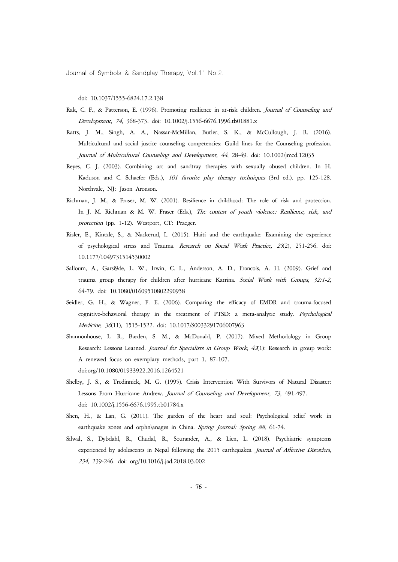doi: 10.1037/1555-6824.17.2.138

- Rak, C. F., & Patterson, E. (1996). Promoting resilience in at-risk children. Journal of Counseling and Development, 74, 368-373. doi: 10.1002/j.1556-6676.1996.tb01881.x
- Ratts, J. M., Singh, A. A., Nassar-McMillan, Butler, S. K., & McCullough, J. R. (2016). Multicultural and social justice counseling competencies: Guild lines for the Counseling profession. Journal of Multicultural Counseling and Development, 44, 28-49. doi: 10.1002/jmcd.12035
- Reyes, C. J. (2003). Combining art and sandtray therapies with sexually abused children. In H. Kaduson and C. Schaefer (Eds.), 101 favorite play therapy techniques (3rd ed.). pp. 125-128. Northvale, NJ: Jason Aronson.
- Richman, J. M., & Fraser, M. W. (2001). Resilience in childhood: The role of risk and protection. In J. M. Richman & M. W. Fraser (Eds.), The contest of youth violence: Resilience, risk, and protection (pp. 1-12). Westport, CT: Praeger.
- Risler, E., Kintzle, S., & Nackerud, L. (2015). Haiti and the earthquake: Examining the experience of psychological stress and Trauma. Research on Social Work Practice, 25(2), 251-256. doi: 10.1177/1049731514530002
- Salloum, A., Garsi9de, L. W., Irwin, C. L., Anderson, A. D., Francois, A. H. (2009). Grief and trauma group therapy for children after hurricane Katrina. Social Work with Groups, 32:1-2, 64-79. doi: 10.1080/01609510802290958
- Seidler, G. H., & Wagner, F. E. (2006). Comparing the efficacy of EMDR and trauma-focused cognitive-behavioral therapy in the treatment of PTSD: a meta-analytic study. Psychological Medicine, 36(11), 1515-1522. doi: 10.1017/S0033291706007963
- Shannonhouse, L. R., Barden, S. M., & McDonald, P. (2017). Mixed Methodology in Group Research: Lessons Learned. Journal for Specialists in Group Work, 42(1): Research in group work: A renewed focus on exemplary methods, part 1, 87-107. doi:org/10.1080/01933922.2016.1264521
- Shelby, J. S., & Tredinnick, M. G. (1995). Crisis Intervention With Survivors of Natural Disaster: Lessons From Hurricane Andrew. Journal of Counseling and Development, 73, 491-497. doi: 10.1002/j.1556-6676.1995.tb01784.x
- Shen, H., & Lan, G. (2011). The garden of the heart and soul: Psychological relief work in earthquake zones and orphn\anages in China. Spring Journal: Spring 88, 61-74.
- Silwal, S., Dybdahl, R., Chudal, R., Sourander, A., & Lien, L. (2018). Psychiatric symptoms experienced by adolescents in Nepal following the 2015 earthquakes. Journal of Affective Disorders, 234, 239-246. doi: org/10.1016/j.jad.2018.03.002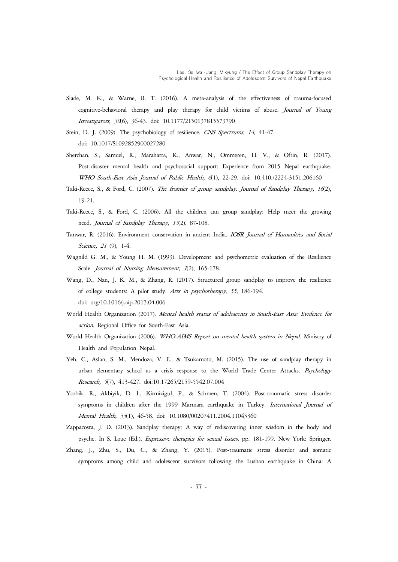- Slade, M. K., & Warne, R. T. (2016). A meta-analysis of the effectiveness of trauma-focused cognitive-behavioral therapy and play therapy for child victims of abuse. Journal of Young Investigators, 30(6), 36-43. doi: 10.1177/2150137815573790
- Stein, D. J. (2009). The psychobiology of resilience. CNS Spectrums, 14, 41-47. doi: 10.1017/S1092852900027280
- Sherchan, S., Samuel, R., Marahatta, K., Anwar, N., Ommeren, H. V., & Ofrin, R. (2017). Post-disaster mental health and psychosocial support: Experience from 2015 Nepal earthquake. WHO South-East Asia Journal of Public Health, 6(1), 22-29. doi: 10.410./2224-3151.206160
- Taki-Reece, S., & Ford, C. (2007). The frontier of group sandplay. Journal of Sandplay Therapy, 16(2), 19-21.
- Taki-Reece, S., & Ford, C. (2006). All the children can group sandplay: Help meet the growing need. Journal of Sandplay Therapy, 15(2), 87-108.
- Tanwar, R. (2016). Environment conservation in ancient India. IOSR Journal of Humanities and Social Science, 21 (9), 1-4.
- Wagnild G. M., & Young H. M. (1993). Development and psychometric evaluation of the Resilience Scale. Journal of Nursing Measurement, 1(2), 165-178.
- Wang, D., Nan, J. K. M., & Zhang, R. (2017). Structured group sandplay to improve the resilience of college students: A pilot study. Arts in psychotherapy, 55, 186-194. doi: org/10.1016/j.aip.2017.04.006
- World Health Organization (2017). Mental health status of adolescents in South-East Asia: Evidence for action. Regional Office for South-East Asia.
- World Health Organization (2006). WHO-AIMS Report on mental health system in Nepal. Ministry of Health and Population Nepal.
- Yeh, C., Aslan, S. M., Mendoza, V. E., & Tsukamoto, M. (2015). The use of sandplay therapy in urban elementary school as a crisis response to the World Trade Center Attacks. Psychology Research, 5(7), 413-427. doi:10.17265/2159-5542.07.004
- Yorbik, R., Akbiyik, D. I., Kirmizigul, P., & Sohmen, T. (2004). Post-traumatic stress disorder symptoms in children after the 1999 Marmara earthquake in Turkey. International Journal of Mental Health, 33(1), 46-58. doi: 10.1080/00207411.2004.11043360
- Zappacosta, J. D. (2013). Sandplay therapy: A way of rediscovering inner wisdom in the body and psyche. In S. Loue (Ed.), Expressive therapies for sexual issues. pp. 181-199. New York: Springer.
- Zhang, J., Zhu, S., Du, C., & Zhang, Y. (2015). Post-traumatic stress disorder and somatic symptoms among child and adolescent survivors following the Lushan earthquake in China: A